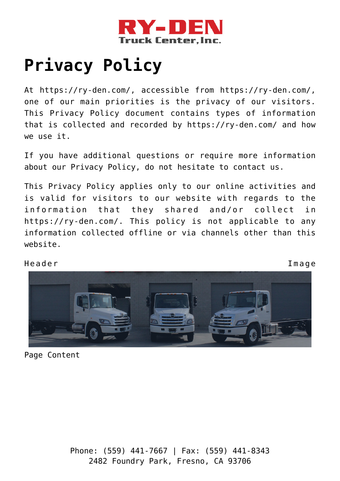

# **[Privacy Policy](https://ry-den.com/privacy-policy/)**

At https://ry-den.com/, accessible from https://ry-den.com/, one of our main priorities is the privacy of our visitors. This Privacy Policy document contains types of information that is collected and recorded by https://ry-den.com/ and how we use it.

If you have additional questions or require more information about our Privacy Policy, do not hesitate to contact us.

This Privacy Policy applies only to our online activities and is valid for visitors to our website with regards to the information that they shared and/or collect in https://ry-den.com/. This policy is not applicable to any information collected offline or via channels other than this website.

Header Image



Page Content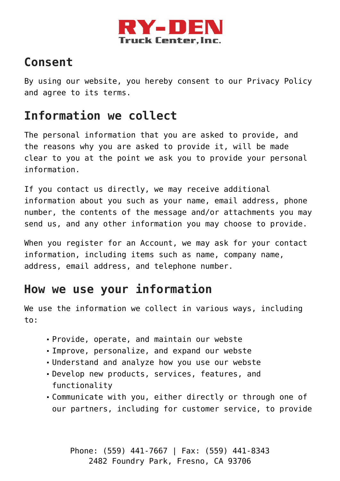

## **Consent**

By using our website, you hereby consent to our Privacy Policy and agree to its terms.

## **Information we collect**

The personal information that you are asked to provide, and the reasons why you are asked to provide it, will be made clear to you at the point we ask you to provide your personal information.

If you contact us directly, we may receive additional information about you such as your name, email address, phone number, the contents of the message and/or attachments you may send us, and any other information you may choose to provide.

When you register for an Account, we may ask for your contact information, including items such as name, company name, address, email address, and telephone number.

#### **How we use your information**

We use the information we collect in various ways, including to:

- Provide, operate, and maintain our webste
- Improve, personalize, and expand our webste
- Understand and analyze how you use our webste
- Develop new products, services, features, and functionality
- Communicate with you, either directly or through one of our partners, including for customer service, to provide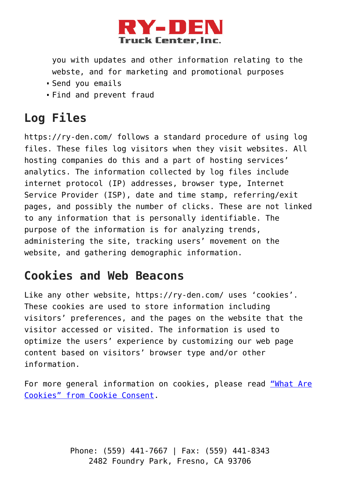

you with updates and other information relating to the webste, and for marketing and promotional purposes

- Send you emails
- Find and prevent fraud

# **Log Files**

https://ry-den.com/ follows a standard procedure of using log files. These files log visitors when they visit websites. All hosting companies do this and a part of hosting services' analytics. The information collected by log files include internet protocol (IP) addresses, browser type, Internet Service Provider (ISP), date and time stamp, referring/exit pages, and possibly the number of clicks. These are not linked to any information that is personally identifiable. The purpose of the information is for analyzing trends, administering the site, tracking users' movement on the website, and gathering demographic information.

#### **Cookies and Web Beacons**

Like any other website, https://ry-den.com/ uses 'cookies'. These cookies are used to store information including visitors' preferences, and the pages on the website that the visitor accessed or visited. The information is used to optimize the users' experience by customizing our web page content based on visitors' browser type and/or other information.

For more general information on cookies, please read ["What Are](https://www.cookieconsent.com/what-are-cookies/) [Cookies" from Cookie Consent](https://www.cookieconsent.com/what-are-cookies/).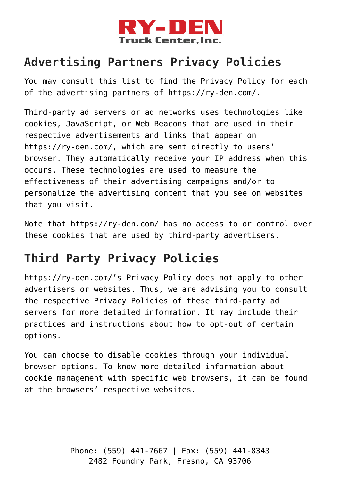

## **Advertising Partners Privacy Policies**

You may consult this list to find the Privacy Policy for each of the advertising partners of https://ry-den.com/.

Third-party ad servers or ad networks uses technologies like cookies, JavaScript, or Web Beacons that are used in their respective advertisements and links that appear on https://ry-den.com/, which are sent directly to users' browser. They automatically receive your IP address when this occurs. These technologies are used to measure the effectiveness of their advertising campaigns and/or to personalize the advertising content that you see on websites that you visit.

Note that https://ry-den.com/ has no access to or control over these cookies that are used by third-party advertisers.

## **Third Party Privacy Policies**

https://ry-den.com/'s Privacy Policy does not apply to other advertisers or websites. Thus, we are advising you to consult the respective Privacy Policies of these third-party ad servers for more detailed information. It may include their practices and instructions about how to opt-out of certain options.

You can choose to disable cookies through your individual browser options. To know more detailed information about cookie management with specific web browsers, it can be found at the browsers' respective websites.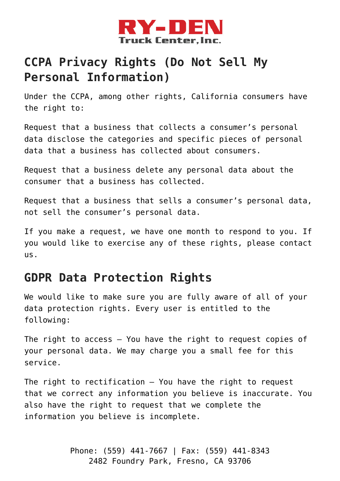

## **CCPA Privacy Rights (Do Not Sell My Personal Information)**

Under the CCPA, among other rights, California consumers have the right to:

Request that a business that collects a consumer's personal data disclose the categories and specific pieces of personal data that a business has collected about consumers.

Request that a business delete any personal data about the consumer that a business has collected.

Request that a business that sells a consumer's personal data, not sell the consumer's personal data.

If you make a request, we have one month to respond to you. If you would like to exercise any of these rights, please contact us.

#### **GDPR Data Protection Rights**

We would like to make sure you are fully aware of all of your data protection rights. Every user is entitled to the following:

The right to access – You have the right to request copies of your personal data. We may charge you a small fee for this service.

The right to rectification – You have the right to request that we correct any information you believe is inaccurate. You also have the right to request that we complete the information you believe is incomplete.